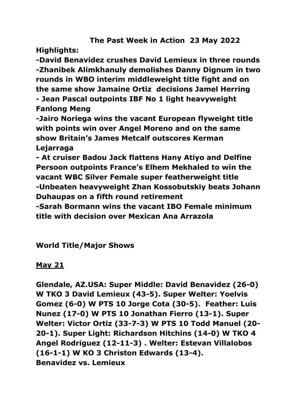# **The Past Week in Action 23 May 2022**

**Highlights:**

**-David Benavidez crushes David Lemieux in three rounds -Zhanibek Alimkhanuly demolishes Danny Dignum in two rounds in WBO interim middleweight title fight and on the same show Jamaine Ortiz decisions Jamel Herring - Jean Pascal outpoints IBF No 1 light heavyweight Fanlong Meng**

**-Jairo Noriega wins the vacant European flyweight title with points win over Angel Moreno and on the same show Britain's James Metcalf outscores Kerman Lejarraga**

**- At cruiser Badou Jack flattens Hany Atiyo and Delfine Persoon outpoints France's Elhem Mekhaled to win the vacant WBC Silver Female super featherweight title -Unbeaten heavyweight Zhan Kossobutskiy beats Johann Duhaupas on a fifth round retirement**

**-Sarah Bormann wins the vacant IBO Female minimum title with decision over Mexican Ana Arrazola**

**World Title/Major Shows**

**May 21**

**Glendale, AZ.USA: Super Middle: David Benavidez (26-0) W TKO 3 David Lemieux (43-5). Super Welter: Yoelvis Gomez (6-0) W PTS 10 Jorge Cota (30-5). Feather: Luis Nunez (17-0) W PTS 10 Jonathan Fierro (13-1). Super Welter: Victor Ortiz (33-7-3) W PTS 10 Todd Manuel (20- 20-1). Super Light: Richardson Hitchins (14-0) W TKO 4 Angel Rodriguez (12-11-3) . Welter: Estevan Villalobos (16-1-1) W KO 3 Christon Edwards (13-4). Benavidez vs. Lemieux**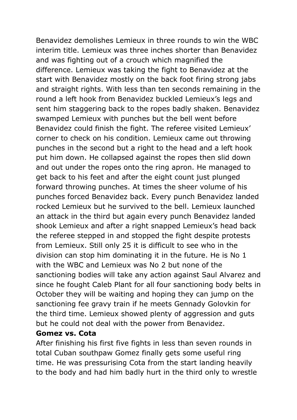Benavidez demolishes Lemieux in three rounds to win the WBC interim title. Lemieux was three inches shorter than Benavidez and was fighting out of a crouch which magnified the difference. Lemieux was taking the fight to Benavidez at the start with Benavidez mostly on the back foot firing strong jabs and straight rights. With less than ten seconds remaining in the round a left hook from Benavidez buckled Lemieux's legs and sent him staggering back to the ropes badly shaken. Benavidez swamped Lemieux with punches but the bell went before Benavidez could finish the fight. The referee visited Lemieux' corner to check on his condition. Lemieux came out throwing punches in the second but a right to the head and a left hook put him down. He collapsed against the ropes then slid down and out under the ropes onto the ring apron. He managed to get back to his feet and after the eight count just plunged forward throwing punches. At times the sheer volume of his punches forced Benavidez back. Every punch Benavidez landed rocked Lemieux but he survived to the bell. Lemieux launched an attack in the third but again every punch Benavidez landed shook Lemieux and after a right snapped Lemieux's head back the referee stepped in and stopped the fight despite protests from Lemieux. Still only 25 it is difficult to see who in the division can stop him dominating it in the future. He is No 1 with the WBC and Lemieux was No 2 but none of the sanctioning bodies will take any action against Saul Alvarez and since he fought Caleb Plant for all four sanctioning body belts in October they will be waiting and hoping they can jump on the sanctioning fee gravy train if he meets Gennady Golovkin for the third time. Lemieux showed plenty of aggression and guts but he could not deal with the power from Benavidez.

#### **Gomez vs. Cota**

After finishing his first five fights in less than seven rounds in total Cuban southpaw Gomez finally gets some useful ring time. He was pressurising Cota from the start landing heavily to the body and had him badly hurt in the third only to wrestle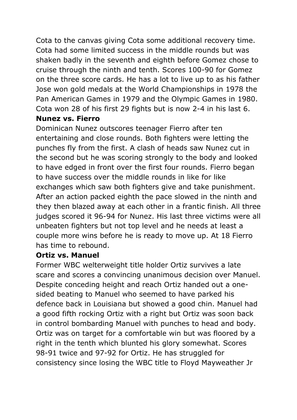Cota to the canvas giving Cota some additional recovery time. Cota had some limited success in the middle rounds but was shaken badly in the seventh and eighth before Gomez chose to cruise through the ninth and tenth. Scores 100-90 for Gomez on the three score cards. He has a lot to live up to as his father Jose won gold medals at the World Championships in 1978 the Pan American Games in 1979 and the Olympic Games in 1980. Cota won 28 of his first 29 fights but is now 2-4 in his last 6.

#### **Nunez vs. Fierro**

Dominican Nunez outscores teenager Fierro after ten entertaining and close rounds. Both fighters were letting the punches fly from the first. A clash of heads saw Nunez cut in the second but he was scoring strongly to the body and looked to have edged in front over the first four rounds. Fierro began to have success over the middle rounds in like for like exchanges which saw both fighters give and take punishment. After an action packed eighth the pace slowed in the ninth and they then blazed away at each other in a frantic finish. All three judges scored it 96-94 for Nunez. His last three victims were all unbeaten fighters but not top level and he needs at least a couple more wins before he is ready to move up. At 18 Fierro has time to rebound.

#### **Ortiz vs. Manuel**

Former WBC welterweight title holder Ortiz survives a late scare and scores a convincing unanimous decision over Manuel. Despite conceding height and reach Ortiz handed out a onesided beating to Manuel who seemed to have parked his defence back in Louisiana but showed a good chin. Manuel had a good fifth rocking Ortiz with a right but Ortiz was soon back in control bombarding Manuel with punches to head and body. Ortiz was on target for a comfortable win but was floored by a right in the tenth which blunted his glory somewhat. Scores 98-91 twice and 97-92 for Ortiz. He has struggled for consistency since losing the WBC title to Floyd Mayweather Jr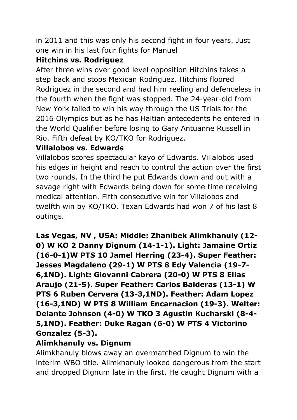in 2011 and this was only his second fight in four years. Just one win in his last four fights for Manuel

### **Hitchins vs. Rodriguez**

After three wins over good level opposition Hitchins takes a step back and stops Mexican Rodriguez. Hitchins floored Rodriguez in the second and had him reeling and defenceless in the fourth when the fight was stopped. The 24-year-old from New York failed to win his way through the US Trials for the 2016 Olympics but as he has Haitian antecedents he entered in the World Qualifier before losing to Gary Antuanne Russell in Rio. Fifth defeat by KO/TKO for Rodriguez.

#### **Villalobos vs. Edwards**

Villalobos scores spectacular kayo of Edwards. Villalobos used his edges in height and reach to control the action over the first two rounds. In the third he put Edwards down and out with a savage right with Edwards being down for some time receiving medical attention. Fifth consecutive win for Villalobos and twelfth win by KO/TKO. Texan Edwards had won 7 of his last 8 outings.

**Las Vegas, NV , USA: Middle: Zhanibek Alimkhanuly (12- 0) W KO 2 Danny Dignum (14-1-1). Light: Jamaine Ortiz (16-0-1)W PTS 10 Jamel Herring (23-4). Super Feather: Jesses Magdaleno (29-1) W PTS 8 Edy Valencia (19-7- 6,1ND). Light: Giovanni Cabrera (20-0) W PTS 8 Elias Araujo (21-5). Super Feather: Carlos Balderas (13-1) W PTS 6 Ruben Cervera (13-3,1ND). Feather: Adam Lopez (16-3,1ND) W PTS 8 William Encarnacion (19-3). Welter: Delante Johnson (4-0) W TKO 3 Agustin Kucharski (8-4- 5,1ND). Feather: Duke Ragan (6-0) W PTS 4 Victorino Gonzalez (5-3).**

#### **Alimkhanuly vs. Dignum**

Alimkhanuly blows away an overmatched Dignum to win the interim WBO title. Alimkhanuly looked dangerous from the start and dropped Dignum late in the first. He caught Dignum with a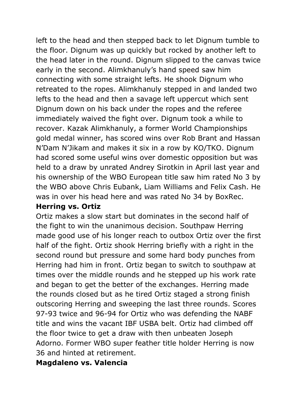left to the head and then stepped back to let Dignum tumble to the floor. Dignum was up quickly but rocked by another left to the head later in the round. Dignum slipped to the canvas twice early in the second. Alimkhanuly's hand speed saw him connecting with some straight lefts. He shook Dignum who retreated to the ropes. Alimkhanuly stepped in and landed two lefts to the head and then a savage left uppercut which sent Dignum down on his back under the ropes and the referee immediately waived the fight over. Dignum took a while to recover. Kazak Alimkhanuly, a former World Championships gold medal winner, has scored wins over Rob Brant and Hassan N'Dam N'Jikam and makes it six in a row by KO/TKO. Dignum had scored some useful wins over domestic opposition but was held to a draw by unrated Andrey Sirotkin in April last year and his ownership of the WBO European title saw him rated No 3 by the WBO above Chris Eubank, Liam Williams and Felix Cash. He was in over his head here and was rated No 34 by BoxRec.

#### **Herring vs. Ortiz**

Ortiz makes a slow start but dominates in the second half of the fight to win the unanimous decision. Southpaw Herring made good use of his longer reach to outbox Ortiz over the first half of the fight. Ortiz shook Herring briefly with a right in the second round but pressure and some hard body punches from Herring had him in front. Ortiz began to switch to southpaw at times over the middle rounds and he stepped up his work rate and began to get the better of the exchanges. Herring made the rounds closed but as he tired Ortiz staged a strong finish outscoring Herring and sweeping the last three rounds. Scores 97-93 twice and 96-94 for Ortiz who was defending the NABF title and wins the vacant IBF USBA belt. Ortiz had climbed off the floor twice to get a draw with then unbeaten Joseph Adorno. Former WBO super feather title holder Herring is now 36 and hinted at retirement.

#### **Magdaleno vs. Valencia**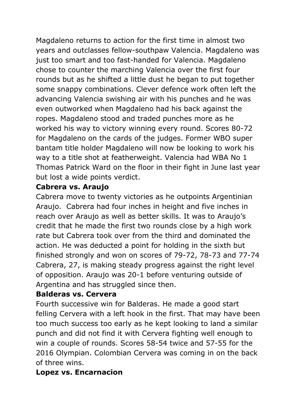Magdaleno returns to action for the first time in almost two years and outclasses fellow-southpaw Valencia. Magdaleno was just too smart and too fast-handed for Valencia. Magdaleno chose to counter the marching Valencia over the first four rounds but as he shifted a little dust he began to put together some snappy combinations. Clever defence work often left the advancing Valencia swishing air with his punches and he was even outworked when Magdaleno had his back against the ropes. Magdaleno stood and traded punches more as he worked his way to victory winning every round. Scores 80-72 for Magdaleno on the cards of the judges. Former WBO super bantam title holder Magdaleno will now be looking to work his way to a title shot at featherweight. Valencia had WBA No 1 Thomas Patrick Ward on the floor in their fight in June last year but lost a wide points verdict.

#### **Cabrera vs. Araujo**

Cabrera move to twenty victories as he outpoints Argentinian Araujo. Cabrera had four inches in height and five inches in reach over Araujo as well as better skills. It was to Araujo's credit that he made the first two rounds close by a high work rate but Cabrera took over from the third and dominated the action. He was deducted a point for holding in the sixth but finished strongly and won on scores of 79-72, 78-73 and 77-74 Cabrera, 27, is making steady progress against the right level of opposition. Araujo was 20-1 before venturing outside of Argentina and has struggled since then.

#### **Balderas vs. Cervera**

Fourth successive win for Balderas. He made a good start felling Cervera with a left hook in the first. That may have been too much success too early as he kept looking to land a similar punch and did not find it with Cervera fighting well enough to win a couple of rounds. Scores 58-54 twice and 57-55 for the 2016 Olympian. Colombian Cervera was coming in on the back of three wins.

### **Lopez vs. Encarnacion**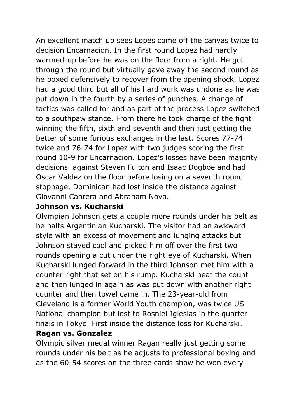An excellent match up sees Lopes come off the canvas twice to decision Encarnacion. In the first round Lopez had hardly warmed-up before he was on the floor from a right. He got through the round but virtually gave away the second round as he boxed defensively to recover from the opening shock. Lopez had a good third but all of his hard work was undone as he was put down in the fourth by a series of punches. A change of tactics was called for and as part of the process Lopez switched to a southpaw stance. From there he took charge of the fight winning the fifth, sixth and seventh and then just getting the better of some furious exchanges in the last. Scores 77-74 twice and 76-74 for Lopez with two judges scoring the first round 10-9 for Encarnacion. Lopez's losses have been majority decisions against Steven Fulton and Isaac Dogboe and had Oscar Valdez on the floor before losing on a seventh round stoppage. Dominican had lost inside the distance against Giovanni Cabrera and Abraham Nova.

#### **Johnson vs. Kucharski**

Olympian Johnson gets a couple more rounds under his belt as he halts Argentinian Kucharski. The visitor had an awkward style with an excess of movement and lunging attacks but Johnson stayed cool and picked him off over the first two rounds opening a cut under the right eye of Kucharski. When Kucharski lunged forward in the third Johnson met him with a counter right that set on his rump. Kucharski beat the count and then lunged in again as was put down with another right counter and then towel came in. The 23-year-old from Cleveland is a former World Youth champion, was twice US National champion but lost to Rosniel Iglesias in the quarter finals in Tokyo. First inside the distance loss for Kucharski. **Ragan vs. Gonzalez**

Olympic silver medal winner Ragan really just getting some rounds under his belt as he adjusts to professional boxing and as the 60-54 scores on the three cards show he won every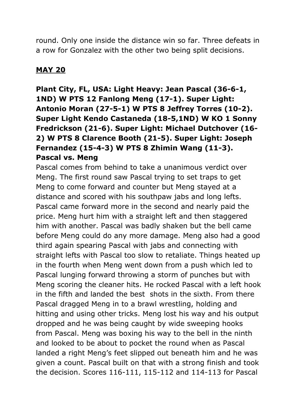round. Only one inside the distance win so far. Three defeats in a row for Gonzalez with the other two being split decisions.

### **MAY 20**

**Plant City, FL, USA: Light Heavy: Jean Pascal (36-6-1, 1ND) W PTS 12 Fanlong Meng (17-1). Super Light: Antonio Moran (27-5-1) W PTS 8 Jeffrey Torres (10-2). Super Light Kendo Castaneda (18-5,1ND) W KO 1 Sonny Fredrickson (21-6). Super Light: Michael Dutchover (16- 2) W PTS 8 Clarence Booth (21-5). Super Light: Joseph Fernandez (15-4-3) W PTS 8 Zhimin Wang (11-3). Pascal vs. Meng** 

Pascal comes from behind to take a unanimous verdict over Meng. The first round saw Pascal trying to set traps to get Meng to come forward and counter but Meng stayed at a distance and scored with his southpaw jabs and long lefts. Pascal came forward more in the second and nearly paid the price. Meng hurt him with a straight left and then staggered him with another. Pascal was badly shaken but the bell came before Meng could do any more damage. Meng also had a good third again spearing Pascal with jabs and connecting with straight lefts with Pascal too slow to retaliate. Things heated up in the fourth when Meng went down from a push which led to Pascal lunging forward throwing a storm of punches but with Meng scoring the cleaner hits. He rocked Pascal with a left hook in the fifth and landed the best shots in the sixth. From there Pascal dragged Meng in to a brawl wrestling, holding and hitting and using other tricks. Meng lost his way and his output dropped and he was being caught by wide sweeping hooks from Pascal. Meng was boxing his way to the bell in the ninth and looked to be about to pocket the round when as Pascal landed a right Meng's feet slipped out beneath him and he was given a count. Pascal built on that with a strong finish and took the decision. Scores 116-111, 115-112 and 114-113 for Pascal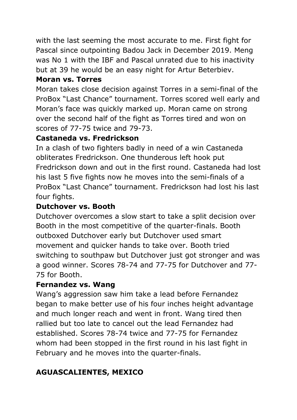with the last seeming the most accurate to me. First fight for Pascal since outpointing Badou Jack in December 2019. Meng was No 1 with the IBF and Pascal unrated due to his inactivity but at 39 he would be an easy night for Artur Beterbiev.

### **Moran vs. Torres**

Moran takes close decision against Torres in a semi-final of the ProBox "Last Chance" tournament. Torres scored well early and Moran's face was quickly marked up. Moran came on strong over the second half of the fight as Torres tired and won on scores of 77-75 twice and 79-73.

## **Castaneda vs. Fredrickson**

In a clash of two fighters badly in need of a win Castaneda obliterates Fredrickson. One thunderous left hook put Fredrickson down and out in the first round. Castaneda had lost his last 5 five fights now he moves into the semi-finals of a ProBox "Last Chance" tournament. Fredrickson had lost his last four fights.

## **Dutchover vs. Booth**

Dutchover overcomes a slow start to take a split decision over Booth in the most competitive of the quarter-finals. Booth outboxed Dutchover early but Dutchover used smart movement and quicker hands to take over. Booth tried switching to southpaw but Dutchover just got stronger and was a good winner. Scores 78-74 and 77-75 for Dutchover and 77- 75 for Booth.

### **Fernandez vs. Wang**

Wang's aggression saw him take a lead before Fernandez began to make better use of his four inches height advantage and much longer reach and went in front. Wang tired then rallied but too late to cancel out the lead Fernandez had established. Scores 78-74 twice and 77-75 for Fernandez whom had been stopped in the first round in his last fight in February and he moves into the quarter-finals.

# **AGUASCALIENTES, MEXICO**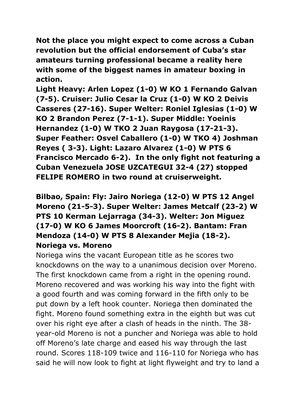**Not the place you might expect to come across a Cuban revolution but the official endorsement of Cuba's star amateurs turning professional became a reality here with some of the biggest names in amateur boxing in action.**

**Light Heavy: Arlen Lopez (1-0) W KO 1 Fernando Galvan (7-5). Cruiser: Julio Cesar la Cruz (1-0) W KO 2 Deivis Casseres (27-16). Super Welter: Roniel Iglesias (1-0) W KO 2 Brandon Perez (7-1-1). Super Middle: Yoeinis Hernandez (1-0) W TKO 2 Juan Raygosa (17-21-3). Super Feather: Osvel Caballero (1-0) W TKO 4) Joshman Reyes ( 3-3). Light: Lazaro Alvarez (1-0) W PTS 6 Francisco Mercado 6-2). In the only fight not featuring a Cuban Venezuela JOSE UZCATEGUI 32-4 (27) stopped FELIPE ROMERO in two round at cruiserweight.**

## **Bilbao, Spain: Fly: Jairo Noriega (12-0) W PTS 12 Angel Moreno (21-5-3). Super Welter: James Metcalf (23-2) W PTS 10 Kerman Lejarraga (34-3). Welter: Jon Miguez (17-0) W KO 6 James Moorcroft (16-2). Bantam: Fran Mendoza (14-0) W PTS 8 Alexander Mejia (18-2). Noriega vs. Moreno**

Noriega wins the vacant European title as he scores two knockdowns on the way to a unanimous decision over Moreno. The first knockdown came from a right in the opening round. Moreno recovered and was working his way into the fight with a good fourth and was coming forward in the fifth only to be put down by a left hook counter. Noriega then dominated the fight. Moreno found something extra in the eighth but was cut over his right eye after a clash of heads in the ninth. The 38 year-old Moreno is not a puncher and Noriega was able to hold off Moreno's late charge and eased his way through the last round. Scores 118-109 twice and 116-110 for Noriega who has said he will now look to fight at light flyweight and try to land a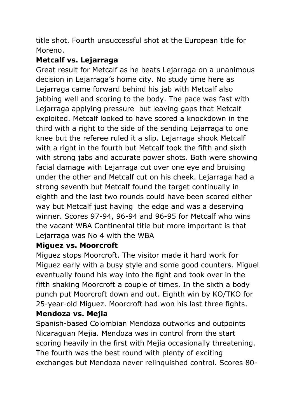title shot. Fourth unsuccessful shot at the European title for Moreno.

## **Metcalf vs. Lejarraga**

Great result for Metcalf as he beats Lejarraga on a unanimous decision in Lejarraga's home city. No study time here as Lejarraga came forward behind his jab with Metcalf also jabbing well and scoring to the body. The pace was fast with Lejarraga applying pressure but leaving gaps that Metcalf exploited. Metcalf looked to have scored a knockdown in the third with a right to the side of the sending Lejarraga to one knee but the referee ruled it a slip. Lejarraga shook Metcalf with a right in the fourth but Metcalf took the fifth and sixth with strong jabs and accurate power shots. Both were showing facial damage with Lejarraga cut over one eye and bruising under the other and Metcalf cut on his cheek. Lejarraga had a strong seventh but Metcalf found the target continually in eighth and the last two rounds could have been scored either way but Metcalf just having the edge and was a deserving winner. Scores 97-94, 96-94 and 96-95 for Metcalf who wins the vacant WBA Continental title but more important is that Lejarraga was No 4 with the WBA

# **Miguez vs. Moorcroft**

Miguez stops Moorcroft. The visitor made it hard work for Miguez early with a busy style and some good counters. Miguel eventually found his way into the fight and took over in the fifth shaking Moorcroft a couple of times. In the sixth a body punch put Moorcroft down and out. Eighth win by KO/TKO for 25-year-old Miguez. Moorcroft had won his last three fights.

# **Mendoza vs. Mejia**

Spanish-based Colombian Mendoza outworks and outpoints Nicaraguan Mejia. Mendoza was in control from the start scoring heavily in the first with Mejia occasionally threatening. The fourth was the best round with plenty of exciting exchanges but Mendoza never relinquished control. Scores 80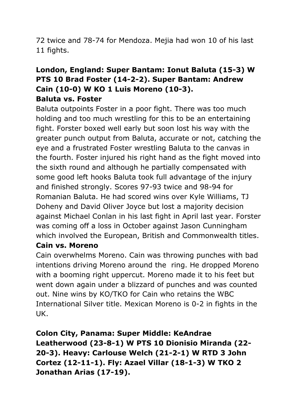72 twice and 78-74 for Mendoza. Mejia had won 10 of his last 11 fights.

### **London, England: Super Bantam: Ionut Baluta (15-3) W PTS 10 Brad Foster (14-2-2). Super Bantam: Andrew Cain (10-0) W KO 1 Luis Moreno (10-3). Baluta vs. Foster**

Baluta outpoints Foster in a poor fight. There was too much holding and too much wrestling for this to be an entertaining fight. Forster boxed well early but soon lost his way with the greater punch output from Baluta, accurate or not, catching the eye and a frustrated Foster wrestling Baluta to the canvas in the fourth. Foster injured his right hand as the fight moved into the sixth round and although he partially compensated with some good left hooks Baluta took full advantage of the injury and finished strongly. Scores 97-93 twice and 98-94 for Romanian Baluta. He had scored wins over Kyle Williams, TJ Doheny and David Oliver Joyce but lost a majority decision against Michael Conlan in his last fight in April last year. Forster was coming off a loss in October against Jason Cunningham which involved the European, British and Commonwealth titles.

#### **Cain vs. Moreno**

Cain overwhelms Moreno. Cain was throwing punches with bad intentions driving Moreno around the ring. He dropped Moreno with a booming right uppercut. Moreno made it to his feet but went down again under a blizzard of punches and was counted out. Nine wins by KO/TKO for Cain who retains the WBC International Silver title. Mexican Moreno is 0-2 in fights in the UK.

**Colon City, Panama: Super Middle: KeAndrae Leatherwood (23-8-1) W PTS 10 Dionisio Miranda (22- 20-3). Heavy: Carlouse Welch (21-2-1) W RTD 3 John Cortez (12-11-1). Fly: Azael Villar (18-1-3) W TKO 2 Jonathan Arias (17-19).**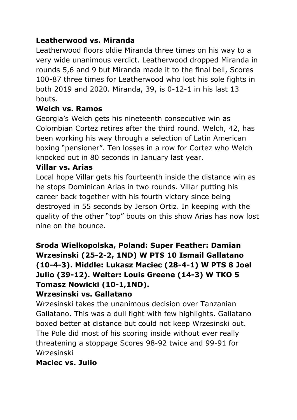### **Leatherwood vs. Miranda**

Leatherwood floors oldie Miranda three times on his way to a very wide unanimous verdict. Leatherwood dropped Miranda in rounds 5,6 and 9 but Miranda made it to the final bell, Scores 100-87 three times for Leatherwood who lost his sole fights in both 2019 and 2020. Miranda, 39, is 0-12-1 in his last 13 bouts.

#### **Welch vs. Ramos**

Georgia's Welch gets his nineteenth consecutive win as Colombian Cortez retires after the third round. Welch, 42, has been working his way through a selection of Latin American boxing "pensioner". Ten losses in a row for Cortez who Welch knocked out in 80 seconds in January last year.

#### **Villar vs. Arias**

Local hope Villar gets his fourteenth inside the distance win as he stops Dominican Arias in two rounds. Villar putting his career back together with his fourth victory since being destroyed in 55 seconds by Jerson Ortiz. In keeping with the quality of the other "top" bouts on this show Arias has now lost nine on the bounce.

**Sroda Wielkopolska, Poland: Super Feather: Damian Wrzesinski (25-2-2, 1ND) W PTS 10 Ismail Gallatano (10-4-3). Middle: Lukasz Maciec (28-4-1) W PTS 8 Joel Julio (39-12). Welter: Louis Greene (14-3) W TKO 5 Tomasz Nowicki (10-1,1ND).**

#### **Wrzesinski vs. Gallatano**

Wrzesinski takes the unanimous decision over Tanzanian Gallatano. This was a dull fight with few highlights. Gallatano boxed better at distance but could not keep Wrzesinski out. The Pole did most of his scoring inside without ever really threatening a stoppage Scores 98-92 twice and 99-91 for Wrzesinski

#### **Maciec vs. Julio**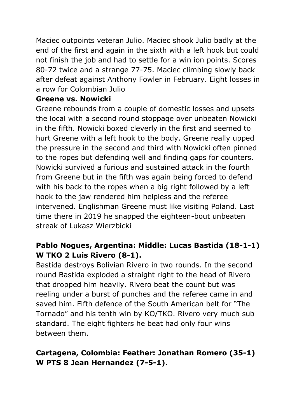Maciec outpoints veteran Julio. Maciec shook Julio badly at the end of the first and again in the sixth with a left hook but could not finish the job and had to settle for a win ion points. Scores 80-72 twice and a strange 77-75. Maciec climbing slowly back after defeat against Anthony Fowler in February. Eight losses in a row for Colombian Julio

#### **Greene vs. Nowicki**

Greene rebounds from a couple of domestic losses and upsets the local with a second round stoppage over unbeaten Nowicki in the fifth. Nowicki boxed cleverly in the first and seemed to hurt Greene with a left hook to the body. Greene really upped the pressure in the second and third with Nowicki often pinned to the ropes but defending well and finding gaps for counters. Nowicki survived a furious and sustained attack in the fourth from Greene but in the fifth was again being forced to defend with his back to the ropes when a big right followed by a left hook to the jaw rendered him helpless and the referee intervened. Englishman Greene must like visiting Poland. Last time there in 2019 he snapped the eighteen-bout unbeaten streak of Lukasz Wierzbicki

## **Pablo Nogues, Argentina: Middle: Lucas Bastida (18-1-1) W TKO 2 Luis Rivero (8-1).**

Bastida destroys Bolivian Rivero in two rounds. In the second round Bastida exploded a straight right to the head of Rivero that dropped him heavily. Rivero beat the count but was reeling under a burst of punches and the referee came in and saved him. Fifth defence of the South American belt for "The Tornado" and his tenth win by KO/TKO. Rivero very much sub standard. The eight fighters he beat had only four wins between them.

## **Cartagena, Colombia: Feather: Jonathan Romero (35-1) W PTS 8 Jean Hernandez (7-5-1).**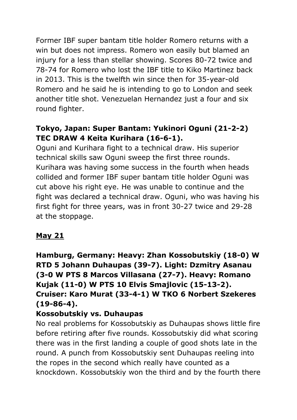Former IBF super bantam title holder Romero returns with a win but does not impress. Romero won easily but blamed an injury for a less than stellar showing. Scores 80-72 twice and 78-74 for Romero who lost the IBF title to Kiko Martinez back in 2013. This is the twelfth win since then for 35-year-old Romero and he said he is intending to go to London and seek another title shot. Venezuelan Hernandez just a four and six round fighter.

### **Tokyo, Japan: Super Bantam: Yukinori Oguni (21-2-2) TEC DRAW 4 Keita Kurihara (16-6-1).**

Oguni and Kurihara fight to a technical draw. His superior technical skills saw Oguni sweep the first three rounds. Kurihara was having some success in the fourth when heads collided and former IBF super bantam title holder Oguni was cut above his right eye. He was unable to continue and the fight was declared a technical draw. Oguni, who was having his first fight for three years, was in front 30-27 twice and 29-28 at the stoppage.

### **May 21**

# **Hamburg, Germany: Heavy: Zhan Kossobutskiy (18-0) W RTD 5 Johann Duhaupas (39-7). Light: Dzmitry Asanau (3-0 W PTS 8 Marcos Villasana (27-7). Heavy: Romano Kujak (11-0) W PTS 10 Elvis Smajlovic (15-13-2). Cruiser: Karo Murat (33-4-1) W TKO 6 Norbert Szekeres (19-86-4).**

### **Kossobutskiy vs. Duhaupas**

No real problems for Kossobutskiy as Duhaupas shows little fire before retiring after five rounds. Kossobutskiy did what scoring there was in the first landing a couple of good shots late in the round. A punch from Kossobutskiy sent Duhaupas reeling into the ropes in the second which really have counted as a knockdown. Kossobutskiy won the third and by the fourth there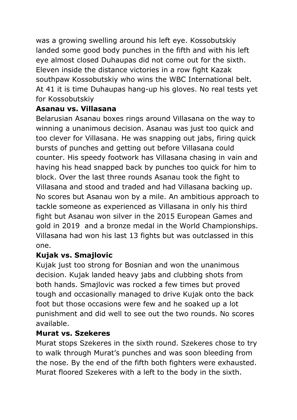was a growing swelling around his left eye. Kossobutskiy landed some good body punches in the fifth and with his left eye almost closed Duhaupas did not come out for the sixth. Eleven inside the distance victories in a row fight Kazak southpaw Kossobutskiy who wins the WBC International belt. At 41 it is time Duhaupas hang-up his gloves. No real tests yet for Kossobutskiy

### **Asanau vs. Villasana**

Belarusian Asanau boxes rings around Villasana on the way to winning a unanimous decision. Asanau was just too quick and too clever for Villasana. He was snapping out jabs, firing quick bursts of punches and getting out before Villasana could counter. His speedy footwork has Villasana chasing in vain and having his head snapped back by punches too quick for him to block. Over the last three rounds Asanau took the fight to Villasana and stood and traded and had Villasana backing up. No scores but Asanau won by a mile. An ambitious approach to tackle someone as experienced as Villasana in only his third fight but Asanau won silver in the 2015 European Games and gold in 2019 and a bronze medal in the World Championships. Villasana had won his last 13 fights but was outclassed in this one.

#### **Kujak vs. Smajlovic**

Kujak just too strong for Bosnian and won the unanimous decision. Kujak landed heavy jabs and clubbing shots from both hands. Smajlovic was rocked a few times but proved tough and occasionally managed to drive Kujak onto the back foot but those occasions were few and he soaked up a lot punishment and did well to see out the two rounds. No scores available.

#### **Murat vs. Szekeres**

Murat stops Szekeres in the sixth round. Szekeres chose to try to walk through Murat's punches and was soon bleeding from the nose. By the end of the fifth both fighters were exhausted. Murat floored Szekeres with a left to the body in the sixth.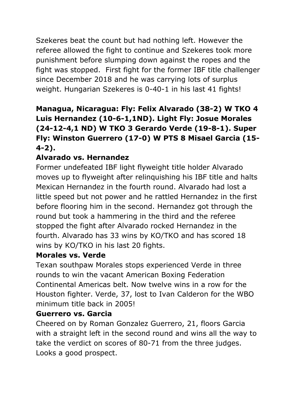Szekeres beat the count but had nothing left. However the referee allowed the fight to continue and Szekeres took more punishment before slumping down against the ropes and the fight was stopped. First fight for the former IBF title challenger since December 2018 and he was carrying lots of surplus weight. Hungarian Szekeres is 0-40-1 in his last 41 fights!

# **Managua, Nicaragua: Fly: Felix Alvarado (38-2) W TKO 4 Luis Hernandez (10-6-1,1ND). Light Fly: Josue Morales (24-12-4,1 ND) W TKO 3 Gerardo Verde (19-8-1). Super Fly: Winston Guerrero (17-0) W PTS 8 Misael Garcia (15- 4-2).**

# **Alvarado vs. Hernandez**

Former undefeated IBF light flyweight title holder Alvarado moves up to flyweight after relinguishing his IBF title and halts Mexican Hernandez in the fourth round. Alvarado had lost a little speed but not power and he rattled Hernandez in the first before flooring him in the second. Hernandez got through the round but took a hammering in the third and the referee stopped the fight after Alvarado rocked Hernandez in the fourth. Alvarado has 33 wins by KO/TKO and has scored 18 wins by KO/TKO in his last 20 fights.

#### **Morales vs. Verde**

Texan southpaw Morales stops experienced Verde in three rounds to win the vacant American Boxing Federation Continental Americas belt. Now twelve wins in a row for the Houston fighter. Verde, 37, lost to Ivan Calderon for the WBO minimum title back in 2005!

### **Guerrero vs. Garcia**

Cheered on by Roman Gonzalez Guerrero, 21, floors Garcia with a straight left in the second round and wins all the way to take the verdict on scores of 80-71 from the three judges. Looks a good prospect.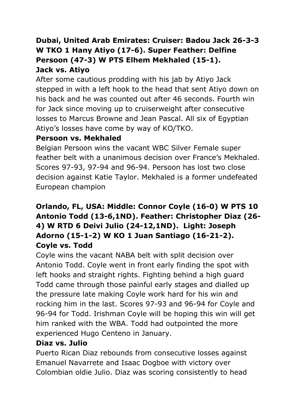# **Dubai, United Arab Emirates: Cruiser: Badou Jack 26-3-3 W TKO 1 Hany Atiyo (17-6). Super Feather: Delfine Persoon (47-3) W PTS Elhem Mekhaled (15-1). Jack vs. Atiyo**

After some cautious prodding with his jab by Atiyo Jack stepped in with a left hook to the head that sent Atiyo down on his back and he was counted out after 46 seconds. Fourth win for Jack since moving up to cruiserweight after consecutive losses to Marcus Browne and Jean Pascal. All six of Egyptian Atiyo's losses have come by way of KO/TKO.

### **Persoon vs. Mekhaled**

Belgian Persoon wins the vacant WBC Silver Female super feather belt with a unanimous decision over France's Mekhaled. Scores 97-93, 97-94 and 96-94. Persoon has lost two close decision against Katie Taylor. Mekhaled is a former undefeated European champion

## **Orlando, FL, USA: Middle: Connor Coyle (16-0) W PTS 10 Antonio Todd (13-6,1ND). Feather: Christopher Diaz (26- 4) W RTD 6 Deivi Julio (24-12,1ND). Light: Joseph Adorno (15-1-2) W KO 1 Juan Santiago (16-21-2). Coyle vs. Todd**

Coyle wins the vacant NABA belt with split decision over Antonio Todd. Coyle went in front early finding the spot with left hooks and straight rights. Fighting behind a high guard Todd came through those painful early stages and dialled up the pressure late making Coyle work hard for his win and rocking him in the last. Scores 97-93 and 96-94 for Coyle and 96-94 for Todd. Irishman Coyle will be hoping this win will get him ranked with the WBA. Todd had outpointed the more experienced Hugo Centeno in January.

#### **Diaz vs. Julio**

Puerto Rican Diaz rebounds from consecutive losses against Emanuel Navarrete and Isaac Dogboe with victory over Colombian oldie Julio. Diaz was scoring consistently to head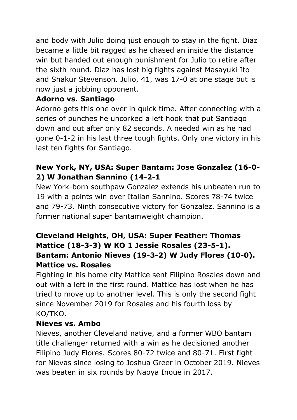and body with Julio doing just enough to stay in the fight. Diaz became a little bit ragged as he chased an inside the distance win but handed out enough punishment for Julio to retire after the sixth round. Diaz has lost big fights against Masayuki Ito and Shakur Stevenson. Julio, 41, was 17-0 at one stage but is now just a jobbing opponent.

### **Adorno vs. Santiago**

Adorno gets this one over in quick time. After connecting with a series of punches he uncorked a left hook that put Santiago down and out after only 82 seconds. A needed win as he had gone 0-1-2 in his last three tough fights. Only one victory in his last ten fights for Santiago.

## **New York, NY, USA: Super Bantam: Jose Gonzalez (16-0- 2) W Jonathan Sannino (14-2-1**

New York-born southpaw Gonzalez extends his unbeaten run to 19 with a points win over Italian Sannino. Scores 78-74 twice and 79-73. Ninth consecutive victory for Gonzalez. Sannino is a former national super bantamweight champion.

### **Cleveland Heights, OH, USA: Super Feather: Thomas Mattice (18-3-3) W KO 1 Jessie Rosales (23-5-1). Bantam: Antonio Nieves (19-3-2) W Judy Flores (10-0). Mattice vs. Rosales**

Fighting in his home city Mattice sent Filipino Rosales down and out with a left in the first round. Mattice has lost when he has tried to move up to another level. This is only the second fight since November 2019 for Rosales and his fourth loss by KO/TKO.

#### **Nieves vs. Ambo**

Nieves, another Cleveland native, and a former WBO bantam title challenger returned with a win as he decisioned another Filipino Judy Flores. Scores 80-72 twice and 80-71. First fight for Nievas since losing to Joshua Greer in October 2019. Nieves was beaten in six rounds by Naoya Inoue in 2017.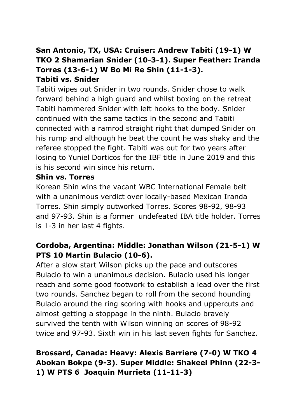### **San Antonio, TX, USA: Cruiser: Andrew Tabiti (19-1) W TKO 2 Shamarian Snider (10-3-1). Super Feather: Iranda Torres (13-6-1) W Bo Mi Re Shin (11-1-3). Tabiti vs. Snider**

Tabiti wipes out Snider in two rounds. Snider chose to walk forward behind a high guard and whilst boxing on the retreat Tabiti hammered Snider with left hooks to the body. Snider continued with the same tactics in the second and Tabiti connected with a ramrod straight right that dumped Snider on his rump and although he beat the count he was shaky and the referee stopped the fight. Tabiti was out for two years after losing to Yuniel Dorticos for the IBF title in June 2019 and this is his second win since his return.

#### **Shin vs. Torres**

Korean Shin wins the vacant WBC International Female belt with a unanimous verdict over locally-based Mexican Iranda Torres. Shin simply outworked Torres. Scores 98-92, 98-93 and 97-93. Shin is a former undefeated IBA title holder. Torres is 1-3 in her last 4 fights.

### **Cordoba, Argentina: Middle: Jonathan Wilson (21-5-1) W PTS 10 Martin Bulacio (10-6).**

After a slow start Wilson picks up the pace and outscores Bulacio to win a unanimous decision. Bulacio used his longer reach and some good footwork to establish a lead over the first two rounds. Sanchez began to roll from the second hounding Bulacio around the ring scoring with hooks and uppercuts and almost getting a stoppage in the ninth. Bulacio bravely survived the tenth with Wilson winning on scores of 98-92 twice and 97-93. Sixth win in his last seven fights for Sanchez.

## **Brossard, Canada: Heavy: Alexis Barriere (7-0) W TKO 4 Abokan Bokpe (9-3). Super Middle: Shakeel Phinn (22-3- 1) W PTS 6 Joaquin Murrieta (11-11-3)**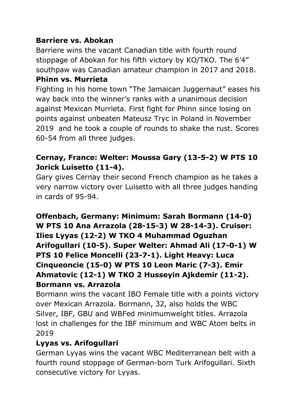### **Barriere vs. Abokan**

Barriere wins the vacant Canadian title with fourth round stoppage of Abokan for his fifth victory by KO/TKO. The 6'4" southpaw was Canadian amateur champion in 2017 and 2018. **Phinn vs. Murrieta**

Fighting in his home town "The Jamaican Juggernaut" eases his way back into the winner's ranks with a unanimous decision against Mexican Murrieta. First fight for Phinn since losing on points against unbeaten Mateusz Tryc in Poland in November 2019 and he took a couple of rounds to shake the rust. Scores 60-54 from all three judges.

### **Cernay, France: Welter: Moussa Gary (13-5-2) W PTS 10 Jorick Luisetto (11-4).**

Gary gives Cernay their second French champion as he takes a very narrow victory over Luisetto with all three judges handing in cards of 95-94.

**Offenbach, Germany: Minimum: Sarah Bormann (14-0) W PTS 10 Ana Arrazola (28-15-3) W 28-14-3). Cruiser: Ilies Lyyas (12-2) W TKO 4 Muhammad Oguzhan Arifogullari (10-5). Super Welter: Ahmad Ali (17-0-1) W PTS 10 Felice Moncelli (23-7-1). Light Heavy: Luca Cinqueoncie (15-0) W PTS 10 Leon Maric (7-3). Emir Ahmatovic (12-1) W TKO 2 Husseyin Ajkdemir (11-2). Bormann vs. Arrazola**

Bormann wins the vacant IBO Female title with a points victory over Mexican Arrazola. Bormann, 32, also holds the WBC Silver, IBF, GBU and WBFed minimumweight titles. Arrazola lost in challenges for the IBF minimum and WBC Atom belts in 2019

### **Lyyas vs. Arifogullari**

German Lyyas wins the vacant WBC Mediterranean belt with a fourth round stoppage of German-born Turk Arifogullari. Sixth consecutive victory for Lyyas.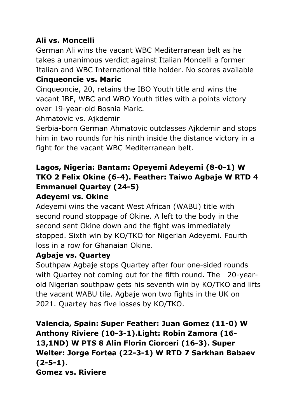### **Ali vs. Moncelli**

German Ali wins the vacant WBC Mediterranean belt as he takes a unanimous verdict against Italian Moncelli a former Italian and WBC International title holder. No scores available **Cinqueoncie vs. Maric**

Cinqueoncie, 20, retains the IBO Youth title and wins the vacant IBF, WBC and WBO Youth titles with a points victory over 19-year-old Bosnia Maric.

Ahmatovic vs. Ajkdemir

Serbia-born German Ahmatovic outclasses Ajkdemir and stops him in two rounds for his ninth inside the distance victory in a fight for the vacant WBC Mediterranean belt.

### **Lagos, Nigeria: Bantam: Opeyemi Adeyemi (8-0-1) W TKO 2 Felix Okine (6-4). Feather: Taiwo Agbaje W RTD 4 Emmanuel Quartey (24-5) Adeyemi vs. Okine**

Adeyemi wins the vacant West African (WABU) title with second round stoppage of Okine. A left to the body in the second sent Okine down and the fight was immediately stopped. Sixth win by KO/TKO for Nigerian Adeyemi. Fourth loss in a row for Ghanaian Okine.

### **Agbaje vs. Quartey**

Southpaw Agbaje stops Quartey after four one-sided rounds with Quartey not coming out for the fifth round. The 20-yearold Nigerian southpaw gets his seventh win by KO/TKO and lifts the vacant WABU tile. Agbaje won two fights in the UK on 2021. Quartey has five losses by KO/TKO.

**Valencia, Spain: Super Feather: Juan Gomez (11-0) W Anthony Riviere (10-3-1).Light: Robin Zamora (16- 13,1ND) W PTS 8 Alin Florin Ciorceri (16-3). Super Welter: Jorge Fortea (22-3-1) W RTD 7 Sarkhan Babaev (2-5-1).**

**Gomez vs. Riviere**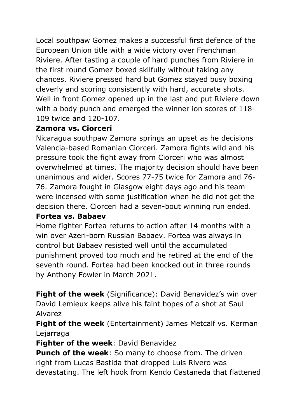Local southpaw Gomez makes a successful first defence of the European Union title with a wide victory over Frenchman Riviere. After tasting a couple of hard punches from Riviere in the first round Gomez boxed skilfully without taking any chances. Riviere pressed hard but Gomez stayed busy boxing cleverly and scoring consistently with hard, accurate shots. Well in front Gomez opened up in the last and put Riviere down with a body punch and emerged the winner ion scores of 118- 109 twice and 120-107.

### **Zamora vs. Ciorceri**

Nicaragua southpaw Zamora springs an upset as he decisions Valencia-based Romanian Ciorceri. Zamora fights wild and his pressure took the fight away from Ciorceri who was almost overwhelmed at times. The majority decision should have been unanimous and wider. Scores 77-75 twice for Zamora and 76- 76. Zamora fought in Glasgow eight days ago and his team were incensed with some justification when he did not get the decision there. Ciorceri had a seven-bout winning run ended.

#### **Fortea vs. Babaev**

Home fighter Fortea returns to action after 14 months with a win over Azeri-born Russian Babaev. Fortea was always in control but Babaev resisted well until the accumulated punishment proved too much and he retired at the end of the seventh round. Fortea had been knocked out in three rounds by Anthony Fowler in March 2021.

Fight of the week (Significance): David Benavidez's win over David Lemieux keeps alive his faint hopes of a shot at Saul Alvarez

**Fight of the week** (Entertainment) James Metcalf vs. Kerman Lejarraga

**Fighter of the week**: David Benavidez

**Punch of the week**: So many to choose from. The driven right from Lucas Bastida that dropped Luis Rivero was devastating. The left hook from Kendo Castaneda that flattened